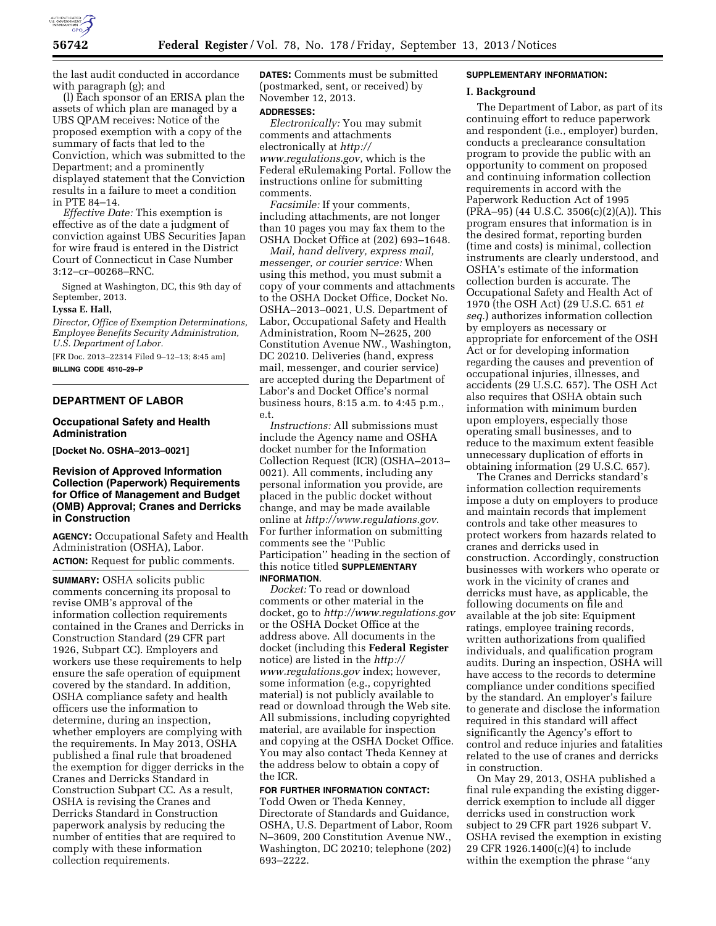

the last audit conducted in accordance with paragraph (g); and

(l) Each sponsor of an ERISA plan the assets of which plan are managed by a UBS QPAM receives: Notice of the proposed exemption with a copy of the summary of facts that led to the Conviction, which was submitted to the Department; and a prominently displayed statement that the Conviction results in a failure to meet a condition in PTE 84–14.

*Effective Date:* This exemption is effective as of the date a judgment of conviction against UBS Securities Japan for wire fraud is entered in the District Court of Connecticut in Case Number 3:12–cr–00268–RNC.

Signed at Washington, DC, this 9th day of September, 2013.

# **Lyssa E. Hall,**

*Director, Office of Exemption Determinations, Employee Benefits Security Administration, U.S. Department of Labor.* 

[FR Doc. 2013–22314 Filed 9–12–13; 8:45 am] **BILLING CODE 4510–29–P** 

### **DEPARTMENT OF LABOR**

### **Occupational Safety and Health Administration**

**[Docket No. OSHA–2013–0021]** 

## **Revision of Approved Information Collection (Paperwork) Requirements for Office of Management and Budget (OMB) Approval; Cranes and Derricks in Construction**

**AGENCY:** Occupational Safety and Health Administration (OSHA), Labor. **ACTION:** Request for public comments.

**SUMMARY:** OSHA solicits public comments concerning its proposal to revise OMB's approval of the information collection requirements contained in the Cranes and Derricks in Construction Standard (29 CFR part 1926, Subpart CC). Employers and workers use these requirements to help ensure the safe operation of equipment covered by the standard. In addition, OSHA compliance safety and health officers use the information to determine, during an inspection, whether employers are complying with the requirements. In May 2013, OSHA published a final rule that broadened the exemption for digger derricks in the Cranes and Derricks Standard in Construction Subpart CC. As a result, OSHA is revising the Cranes and Derricks Standard in Construction paperwork analysis by reducing the number of entities that are required to comply with these information collection requirements.

**DATES:** Comments must be submitted (postmarked, sent, or received) by November 12, 2013.

### **ADDRESSES:**

*Electronically:* You may submit comments and attachments electronically at *[http://](http://www.regulations.gov) [www.regulations.gov](http://www.regulations.gov)*, which is the Federal eRulemaking Portal. Follow the instructions online for submitting comments.

*Facsimile:* If your comments, including attachments, are not longer than 10 pages you may fax them to the OSHA Docket Office at (202) 693–1648.

*Mail, hand delivery, express mail, messenger, or courier service:* When using this method, you must submit a copy of your comments and attachments to the OSHA Docket Office, Docket No. OSHA–2013–0021, U.S. Department of Labor, Occupational Safety and Health Administration, Room N–2625, 200 Constitution Avenue NW., Washington, DC 20210. Deliveries (hand, express mail, messenger, and courier service) are accepted during the Department of Labor's and Docket Office's normal business hours, 8:15 a.m. to 4:45 p.m., e.t.

*Instructions:* All submissions must include the Agency name and OSHA docket number for the Information Collection Request (ICR) (OSHA–2013– 0021). All comments, including any personal information you provide, are placed in the public docket without change, and may be made available online at *<http://www.regulations.gov>*. For further information on submitting comments see the ''Public Participation'' heading in the section of this notice titled **SUPPLEMENTARY INFORMATION**.

*Docket:* To read or download comments or other material in the docket, go to *<http://www.regulations.gov>*  or the OSHA Docket Office at the address above. All documents in the docket (including this **Federal Register**  notice) are listed in the *[http://](http://www.regulations.gov) [www.regulations.gov](http://www.regulations.gov)* index; however, some information (e.g., copyrighted material) is not publicly available to read or download through the Web site. All submissions, including copyrighted material, are available for inspection and copying at the OSHA Docket Office. You may also contact Theda Kenney at the address below to obtain a copy of the ICR.

# **FOR FURTHER INFORMATION CONTACT:**

Todd Owen or Theda Kenney, Directorate of Standards and Guidance, OSHA, U.S. Department of Labor, Room N–3609, 200 Constitution Avenue NW., Washington, DC 20210; telephone (202) 693–2222.

### **SUPPLEMENTARY INFORMATION:**

#### **I. Background**

The Department of Labor, as part of its continuing effort to reduce paperwork and respondent (i.e., employer) burden, conducts a preclearance consultation program to provide the public with an opportunity to comment on proposed and continuing information collection requirements in accord with the Paperwork Reduction Act of 1995 (PRA–95) (44 U.S.C. 3506(c)(2)(A)). This program ensures that information is in the desired format, reporting burden (time and costs) is minimal, collection instruments are clearly understood, and OSHA's estimate of the information collection burden is accurate. The Occupational Safety and Health Act of 1970 (the OSH Act) (29 U.S.C. 651 *et seq.*) authorizes information collection by employers as necessary or appropriate for enforcement of the OSH Act or for developing information regarding the causes and prevention of occupational injuries, illnesses, and accidents (29 U.S.C. 657). The OSH Act also requires that OSHA obtain such information with minimum burden upon employers, especially those operating small businesses, and to reduce to the maximum extent feasible unnecessary duplication of efforts in obtaining information (29 U.S.C. 657).

The Cranes and Derricks standard's information collection requirements impose a duty on employers to produce and maintain records that implement controls and take other measures to protect workers from hazards related to cranes and derricks used in construction. Accordingly, construction businesses with workers who operate or work in the vicinity of cranes and derricks must have, as applicable, the following documents on file and available at the job site: Equipment ratings, employee training records, written authorizations from qualified individuals, and qualification program audits. During an inspection, OSHA will have access to the records to determine compliance under conditions specified by the standard. An employer's failure to generate and disclose the information required in this standard will affect significantly the Agency's effort to control and reduce injuries and fatalities related to the use of cranes and derricks in construction.

On May 29, 2013, OSHA published a final rule expanding the existing diggerderrick exemption to include all digger derricks used in construction work subject to 29 CFR part 1926 subpart V. OSHA revised the exemption in existing 29 CFR 1926.1400(c)(4) to include within the exemption the phrase ''any